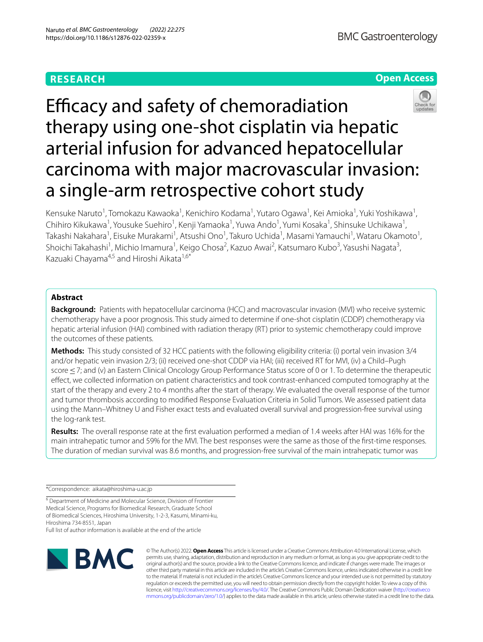# **RESEARCH**

# **Open Access**



Efficacy and safety of chemoradiation therapy using one-shot cisplatin via hepatic arterial infusion for advanced hepatocellular carcinoma with major macrovascular invasion: a single-arm retrospective cohort study

Kensuke Naruto<sup>1</sup>, Tomokazu Kawaoka<sup>1</sup>, Kenichiro Kodama<sup>1</sup>, Yutaro Ogawa<sup>1</sup>, Kei Amioka<sup>1</sup>, Yuki Yoshikawa<sup>1</sup>, Chihiro Kikukawa<sup>1</sup>, Yousuke Suehiro<sup>1</sup>, Kenji Yamaoka<sup>1</sup>, Yuwa Ando<sup>1</sup>, Yumi Kosaka<sup>1</sup>, Shinsuke Uchikawa<sup>1</sup>, Takashi Nakahara<sup>1</sup>, Eisuke Murakami<sup>1</sup>, Atsushi Ono<sup>1</sup>, Takuro Uchida<sup>1</sup>, Masami Yamauchi<sup>1</sup>, Wataru Okamoto<sup>1</sup>, Shoichi Takahashi<sup>1</sup>, Michio Imamura<sup>1</sup>, Keigo Chosa<sup>2</sup>, Kazuo Awai<sup>2</sup>, Katsumaro Kubo<sup>3</sup>, Yasushi Nagata<sup>3</sup>, Kazuaki Chayama<sup>4,5</sup> and Hiroshi Aikata<sup>1,6\*</sup>

# **Abstract**

**Background:** Patients with hepatocellular carcinoma (HCC) and macrovascular invasion (MVI) who receive systemic chemotherapy have a poor prognosis. This study aimed to determine if one-shot cisplatin (CDDP) chemotherapy via hepatic arterial infusion (HAI) combined with radiation therapy (RT) prior to systemic chemotherapy could improve the outcomes of these patients.

**Methods:** This study consisted of 32 HCC patients with the following eligibility criteria: (i) portal vein invasion 3/4 and/or hepatic vein invasion 2/3; (ii) received one-shot CDDP via HAI; (iii) received RT for MVI, (iv) a Child–Pugh score < 7; and (v) an Eastern Clinical Oncology Group Performance Status score of 0 or 1. To determine the therapeutic efect, we collected information on patient characteristics and took contrast-enhanced computed tomography at the start of the therapy and every 2 to 4 months after the start of therapy. We evaluated the overall response of the tumor and tumor thrombosis according to modifed Response Evaluation Criteria in Solid Tumors. We assessed patient data using the Mann–Whitney U and Fisher exact tests and evaluated overall survival and progression-free survival using the log-rank test.

**Results:** The overall response rate at the frst evaluation performed a median of 1.4 weeks after HAI was 16% for the main intrahepatic tumor and 59% for the MVI. The best responses were the same as those of the frst-time responses. The duration of median survival was 8.6 months, and progression-free survival of the main intrahepatic tumor was

\*Correspondence: aikata@hiroshima-u.ac.jp

<sup>6</sup> Department of Medicine and Molecular Science, Division of Frontier Medical Science, Programs for Biomedical Research, Graduate School of Biomedical Sciences, Hiroshima University, 1-2-3, Kasumi, Minami-ku, Hiroshima 734-8551, Japan

Full list of author information is available at the end of the article



© The Author(s) 2022. **Open Access** This article is licensed under a Creative Commons Attribution 4.0 International License, which permits use, sharing, adaptation, distribution and reproduction in any medium or format, as long as you give appropriate credit to the original author(s) and the source, provide a link to the Creative Commons licence, and indicate if changes were made. The images or other third party material in this article are included in the article's Creative Commons licence, unless indicated otherwise in a credit line to the material. If material is not included in the article's Creative Commons licence and your intended use is not permitted by statutory regulation or exceeds the permitted use, you will need to obtain permission directly from the copyright holder. To view a copy of this licence, visit [http://creativecommons.org/licenses/by/4.0/.](http://creativecommons.org/licenses/by/4.0/) The Creative Commons Public Domain Dedication waiver ([http://creativeco](http://creativecommons.org/publicdomain/zero/1.0/) [mmons.org/publicdomain/zero/1.0/](http://creativecommons.org/publicdomain/zero/1.0/)) applies to the data made available in this article, unless otherwise stated in a credit line to the data.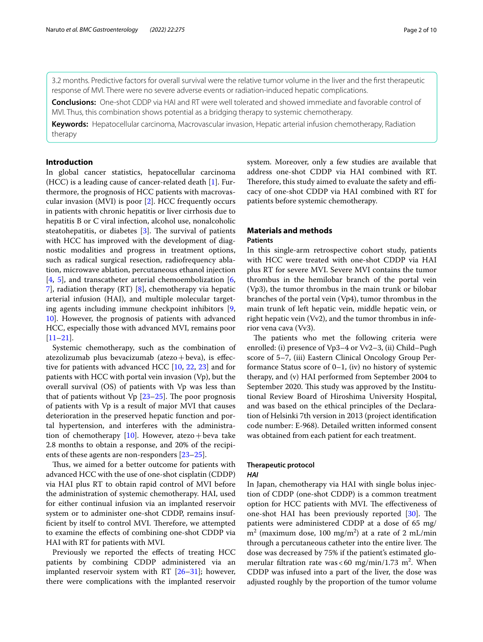3.2 months. Predictive factors for overall survival were the relative tumor volume in the liver and the frst therapeutic response of MVI. There were no severe adverse events or radiation-induced hepatic complications.

**Conclusions:** One-shot CDDP via HAI and RT were well tolerated and showed immediate and favorable control of MVI. Thus, this combination shows potential as a bridging therapy to systemic chemotherapy.

**Keywords:** Hepatocellular carcinoma, Macrovascular invasion, Hepatic arterial infusion chemotherapy, Radiation therapy

## **Introduction**

In global cancer statistics, hepatocellular carcinoma (HCC) is a leading cause of cancer-related death [\[1](#page-8-0)]. Furthermore, the prognosis of HCC patients with macrovascular invasion (MVI) is poor [\[2](#page-8-1)]. HCC frequently occurs in patients with chronic hepatitis or liver cirrhosis due to hepatitis B or C viral infection, alcohol use, nonalcoholic steatohepatitis, or diabetes  $[3]$  $[3]$ . The survival of patients with HCC has improved with the development of diagnostic modalities and progress in treatment options, such as radical surgical resection, radiofrequency ablation, microwave ablation, percutaneous ethanol injection [[4,](#page-8-3) [5\]](#page-8-4), and transcatheter arterial chemoembolization  $[6, 6]$  $[6, 6]$ [7\]](#page-8-6), radiation therapy (RT) [\[8](#page-8-7)], chemotherapy via hepatic arterial infusion (HAI), and multiple molecular targeting agents including immune checkpoint inhibitors [\[9](#page-8-8), [10\]](#page-8-9). However, the prognosis of patients with advanced HCC, especially those with advanced MVI, remains poor [[11–](#page-8-10)[21](#page-8-11)].

Systemic chemotherapy, such as the combination of atezolizumab plus bevacizumab (atezo+beva), is efective for patients with advanced HCC [[10,](#page-8-9) [22,](#page-8-12) [23\]](#page-9-0) and for patients with HCC with portal vein invasion (Vp), but the overall survival (OS) of patients with Vp was less than that of patients without  $Vp$  [\[23](#page-9-0)[–25](#page-9-1)]. The poor prognosis of patients with Vp is a result of major MVI that causes deterioration in the preserved hepatic function and portal hypertension, and interferes with the administration of chemotherapy  $[10]$ . However, atezo+beva take 2.8 months to obtain a response, and 20% of the recipients of these agents are non-responders [[23–](#page-9-0)[25\]](#page-9-1).

Thus, we aimed for a better outcome for patients with advanced HCC with the use of one-shot cisplatin (CDDP) via HAI plus RT to obtain rapid control of MVI before the administration of systemic chemotherapy. HAI, used for either continual infusion via an implanted reservoir system or to administer one-shot CDDP, remains insufficient by itself to control MVI. Therefore, we attempted to examine the efects of combining one-shot CDDP via HAI with RT for patients with MVI.

Previously we reported the effects of treating HCC patients by combining CDDP administered via an implanted reservoir system with RT [[26–](#page-9-2)[31](#page-9-3)]; however, there were complications with the implanted reservoir system. Moreover, only a few studies are available that address one-shot CDDP via HAI combined with RT. Therefore, this study aimed to evaluate the safety and efficacy of one-shot CDDP via HAI combined with RT for patients before systemic chemotherapy.

# **Materials and methods**

# **Patients**

In this single-arm retrospective cohort study, patients with HCC were treated with one-shot CDDP via HAI plus RT for severe MVI. Severe MVI contains the tumor thrombus in the hemilobar branch of the portal vein (Vp3), the tumor thrombus in the main trunk or bilobar branches of the portal vein (Vp4), tumor thrombus in the main trunk of left hepatic vein, middle hepatic vein, or right hepatic vein (Vv2), and the tumor thrombus in inferior vena cava (Vv3).

The patients who met the following criteria were enrolled: (i) presence of Vp3–4 or Vv2–3, (ii) Child–Pugh score of 5–7, (iii) Eastern Clinical Oncology Group Performance Status score of 0–1, (iv) no history of systemic therapy, and (v) HAI performed from September 2004 to September 2020. This study was approved by the Institutional Review Board of Hiroshima University Hospital, and was based on the ethical principles of the Declaration of Helsinki 7th version in 2013 (project identifcation code number: E-968). Detailed written informed consent was obtained from each patient for each treatment.

# **Therapeutic protocol**

#### *HAI*

In Japan, chemotherapy via HAI with single bolus injection of CDDP (one-shot CDDP) is a common treatment option for HCC patients with MVI. The effectiveness of one-shot HAI has been previously reported [\[30\]](#page-9-4). The patients were administered CDDP at a dose of 65 mg/  $m<sup>2</sup>$  (maximum dose, 100 mg/m<sup>2</sup>) at a rate of 2 mL/min through a percutaneous catheter into the entire liver. The dose was decreased by 75% if the patient's estimated glomerular filtration rate was  $< 60 \text{ mg/min}/1.73 \text{ m}^2$ . When CDDP was infused into a part of the liver, the dose was adjusted roughly by the proportion of the tumor volume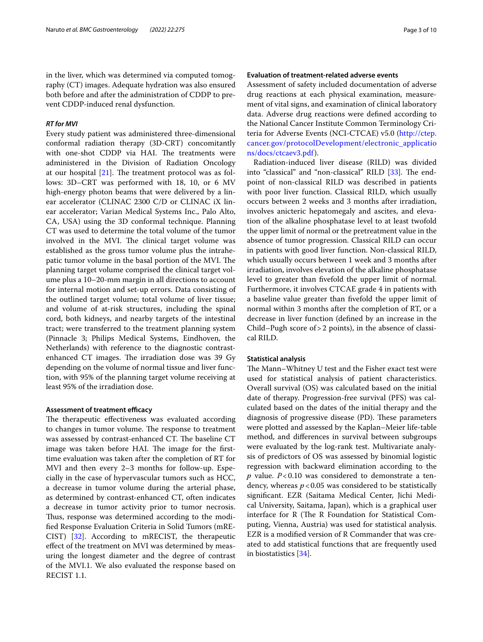in the liver, which was determined via computed tomography (CT) images. Adequate hydration was also ensured both before and after the administration of CDDP to prevent CDDP-induced renal dysfunction.

#### *RT for MVI*

Every study patient was administered three-dimensional conformal radiation therapy (3D-CRT) concomitantly with one-shot CDDP via HAI. The treatments were administered in the Division of Radiation Oncology at our hospital  $[21]$  $[21]$ . The treatment protocol was as follows: 3D–CRT was performed with 18, 10, or 6 MV high-energy photon beams that were delivered by a linear accelerator (CLINAC 2300 C/D or CLINAC iX linear accelerator; Varian Medical Systems Inc., Palo Alto, CA, USA) using the 3D conformal technique. Planning CT was used to determine the total volume of the tumor involved in the MVI. The clinical target volume was established as the gross tumor volume plus the intrahepatic tumor volume in the basal portion of the MVI. The planning target volume comprised the clinical target volume plus a 10–20-mm margin in all directions to account for internal motion and set-up errors. Data consisting of the outlined target volume; total volume of liver tissue; and volume of at-risk structures, including the spinal cord, both kidneys, and nearby targets of the intestinal tract; were transferred to the treatment planning system (Pinnacle 3; Philips Medical Systems, Eindhoven, the Netherlands) with reference to the diagnostic contrastenhanced CT images. The irradiation dose was 39 Gy depending on the volume of normal tissue and liver function, with 95% of the planning target volume receiving at least 95% of the irradiation dose.

#### **Assessment of treatment efficacy**

The therapeutic effectiveness was evaluated according to changes in tumor volume. The response to treatment was assessed by contrast-enhanced CT. The baseline CT image was taken before HAI. The image for the firsttime evaluation was taken after the completion of RT for MVI and then every 2–3 months for follow-up. Especially in the case of hypervascular tumors such as HCC, a decrease in tumor volume during the arterial phase, as determined by contrast-enhanced CT, often indicates a decrease in tumor activity prior to tumor necrosis. Thus, response was determined according to the modifed Response Evaluation Criteria in Solid Tumors (mRE-CIST) [\[32\]](#page-9-5). According to mRECIST, the therapeutic efect of the treatment on MVI was determined by measuring the longest diameter and the degree of contrast of the MVI.1. We also evaluated the response based on RECIST 1.1.

## **Evaluation of treatment‑related adverse events**

Assessment of safety included documentation of adverse drug reactions at each physical examination, measurement of vital signs, and examination of clinical laboratory data. Adverse drug reactions were defned according to the National Cancer Institute Common Terminology Criteria for Adverse Events (NCI-CTCAE) v5.0 ([http://ctep.](http://ctep.cancer.gov/protocolDevelopment/electronic_applications/docs/ctcaev3.pdf) [cancer.gov/protocolDevelopment/electronic\\_applicatio](http://ctep.cancer.gov/protocolDevelopment/electronic_applications/docs/ctcaev3.pdf) [ns/docs/ctcaev3.pdf\)](http://ctep.cancer.gov/protocolDevelopment/electronic_applications/docs/ctcaev3.pdf).

Radiation-induced liver disease (RILD) was divided into "classical" and "non-classical" RILD [\[33](#page-9-6)]. The endpoint of non-classical RILD was described in patients with poor liver function. Classical RILD, which usually occurs between 2 weeks and 3 months after irradiation, involves anicteric hepatomegaly and ascites, and elevation of the alkaline phosphatase level to at least twofold the upper limit of normal or the pretreatment value in the absence of tumor progression. Classical RILD can occur in patients with good liver function. Non-classical RILD, which usually occurs between 1 week and 3 months after irradiation, involves elevation of the alkaline phosphatase level to greater than fvefold the upper limit of normal. Furthermore, it involves CTCAE grade 4 in patients with a baseline value greater than fvefold the upper limit of normal within 3 months after the completion of RT, or a decrease in liver function (defned by an increase in the Child–Pugh score of>2 points), in the absence of classical RILD.

#### **Statistical analysis**

The Mann–Whitney U test and the Fisher exact test were used for statistical analysis of patient characteristics. Overall survival (OS) was calculated based on the initial date of therapy. Progression-free survival (PFS) was calculated based on the dates of the initial therapy and the diagnosis of progressive disease (PD). These parameters were plotted and assessed by the Kaplan–Meier life-table method, and diferences in survival between subgroups were evaluated by the log-rank test. Multivariate analysis of predictors of OS was assessed by binomial logistic regression with backward elimination according to the *p* value. *P*<0.10 was considered to demonstrate a tendency, whereas  $p < 0.05$  was considered to be statistically signifcant. EZR (Saitama Medical Center, Jichi Medical University, Saitama, Japan), which is a graphical user interface for  $R$  (The  $R$  Foundation for Statistical Computing, Vienna, Austria) was used for statistical analysis. EZR is a modifed version of R Commander that was created to add statistical functions that are frequently used in biostatistics [\[34\]](#page-9-7).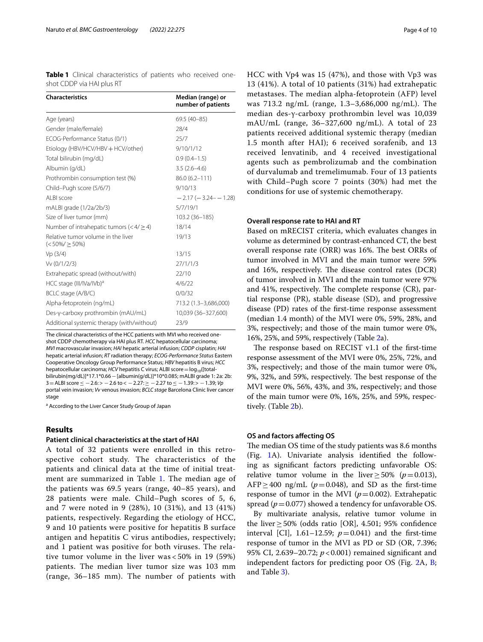<span id="page-3-0"></span>**Table 1** Clinical characteristics of patients who received oneshot CDDP via HAI plus RT

| <b>Characteristics</b>                                    | Median (range) or<br>number of patients |
|-----------------------------------------------------------|-----------------------------------------|
| Age (years)                                               | 69.5 (40-85)                            |
| Gender (male/female)                                      | 28/4                                    |
| ECOG-Performance Status (0/1)                             | 25/7                                    |
| Etiology (HBV/HCV/HBV + HCV/other)                        | 9/10/1/12                               |
| Total bilirubin (mg/dL)                                   | $0.9(0.4 - 1.5)$                        |
| Albumin (g/dL)                                            | $3.5(2.6-4.6)$                          |
| Prothrombin consumption test (%)                          | $86.0(6.2 - 111)$                       |
| Child-Pugh score (5/6/7)                                  | 9/10/13                                 |
| AI BI score                                               | $-2.17(-3.24-1.28)$                     |
| mALBI grade (1/2a/2b/3)                                   | 5/7/19/1                                |
| Size of liver tumor (mm)                                  | 103.2 (36-185)                          |
| Number of intrahepatic tumors ( $< 4/ \ge 4$ )            | 18/14                                   |
| Relative tumor volume in the liver<br>$(<50\%/\geq 50\%)$ | 19/13                                   |
| Vp(3/4)                                                   | 13/15                                   |
| Vv (0/1/2/3)                                              | 27/1/1/3                                |
| Extrahepatic spread (without/with)                        | 22/10                                   |
| HCC stage (III/IVa/IVb) <sup>a</sup>                      | 4/6/22                                  |
| BCLC stage (A/B/C)                                        | 0/0/32                                  |
| Alpha-fetoprotein (ng/mL)                                 | 713.2 (1.3-3,686,000)                   |
| Des-y-carboxy prothrombin (mAU/mL)                        | 10,039 (36-327,600)                     |
| Additional systemic therapy (with/without)                | 23/9                                    |

The clinical characteristics of the HCC patients with MVI who received oneshot CDDP chemotherapy via HAI plus RT. *HCC* hepatocellular carcinoma; *MVI* macrovascular invasion; *HAI* hepatic arterial infusion; *CDDP* cisplatin; *HAI* hepatic arterial infusion; *RT* radiation therapy; *ECOG-Performance Status* Eastern Cooperative Oncology Group Performance Status; *HBV* hepatitis B virus; *HCC* hepatocellular carcinoma; *HCV* hepatitis C virus; ALBI score = log<sub>10</sub>([totalbilirubin(mg/dL)]\*17.1\*0.66−[albumin(g/dL)]\*10\*0.085; mALBI grade 1: 2a: 2b: 3=ALBI score≤ −2.6:> −2.6 to< −2.27:≥ −2.27 to≤ −1.39:> −1.39; *Vp* portal vein invasion; *Vv* venous invasion; *BCLC stage* Barcelona Clinic liver cancer stage

<sup>a</sup> According to the Liver Cancer Study Group of Japan

## **Results**

#### **Patient clinical characteristics at the start of HAI**

A total of 32 patients were enrolled in this retrospective cohort study. The characteristics of the patients and clinical data at the time of initial treat-ment are summarized in Table [1](#page-3-0). The median age of the patients was 69.5 years (range, 40–85 years), and 28 patients were male. Child–Pugh scores of 5, 6, and 7 were noted in 9 (28%), 10 (31%), and 13 (41%) patients, respectively. Regarding the etiology of HCC, 9 and 10 patients were positive for hepatitis B surface antigen and hepatitis C virus antibodies, respectively; and 1 patient was positive for both viruses. The relative tumor volume in the liver was < 50% in 19 (59%) patients. The median liver tumor size was 103 mm (range, 36–185 mm). The number of patients with HCC with Vp4 was 15 (47%), and those with Vp3 was 13 (41%). A total of 10 patients (31%) had extrahepatic metastases. The median alpha-fetoprotein (AFP) level was 713.2 ng/mL (range, 1.3–3,686,000 ng/mL). The median des-γ-carboxy prothrombin level was 10,039 mAU/mL (range, 36–327,600 ng/mL). A total of 23 patients received additional systemic therapy (median 1.5 month after HAI); 6 received sorafenib, and 13 received lenvatinib, and 4 received investigational agents such as pembrolizumab and the combination of durvalumab and tremelimumab. Four of 13 patients with Child–Pugh score 7 points (30%) had met the conditions for use of systemic chemotherapy.

#### **Overall response rate to HAI and RT**

Based on mRECIST criteria, which evaluates changes in volume as determined by contrast-enhanced CT, the best overall response rate (ORR) was 16%. The best ORRs of tumor involved in MVI and the main tumor were 59% and 16%, respectively. The disease control rates (DCR) of tumor involved in MVI and the main tumor were 97% and 41%, respectively. The complete response  $(CR)$ , partial response (PR), stable disease (SD), and progressive disease (PD) rates of the frst-time response assessment (median 1.4 month) of the MVI were 0%, 59%, 28%, and 3%, respectively; and those of the main tumor were 0%, 16%, 25%, and 59%, respectively (Table [2](#page-4-0)a).

The response based on RECIST v1.1 of the first-time response assessment of the MVI were 0%, 25%, 72%, and 3%, respectively; and those of the main tumor were 0%, 9%, 32%, and 59%, respectively. The best response of the MVI were 0%, 56%, 43%, and 3%, respectively; and those of the main tumor were 0%, 16%, 25%, and 59%, respectively. (Table [2](#page-4-0)b).

#### **OS and factors afecting OS**

The median OS time of the study patients was 8.6 months (Fig. [1A](#page-4-1)). Univariate analysis identifed the following as signifcant factors predicting unfavorable OS: relative tumor volume in the liver > 50% ( $p = 0.013$ ), AFP $\geq$ 400 ng/mL ( $p$ =0.048), and SD as the first-time response of tumor in the MVI ( $p=0.002$ ). Extrahepatic spread ( $p=0.077$ ) showed a tendency for unfavorable OS.

By multivariate analysis, relative tumor volume in the liver  $\geq$  50% (odds ratio [OR], 4.501; 95% confidence interval [CI], 1.61–12.59;  $p=0.041$ ) and the first-time response of tumor in the MVI as PD or SD (OR, 7.396; 95% CI, 2.639–20.72; *p*<0.001) remained signifcant and independent factors for predicting poor OS (Fig. [2](#page-5-0)A, [B](#page-5-0); and Table [3\)](#page-5-1).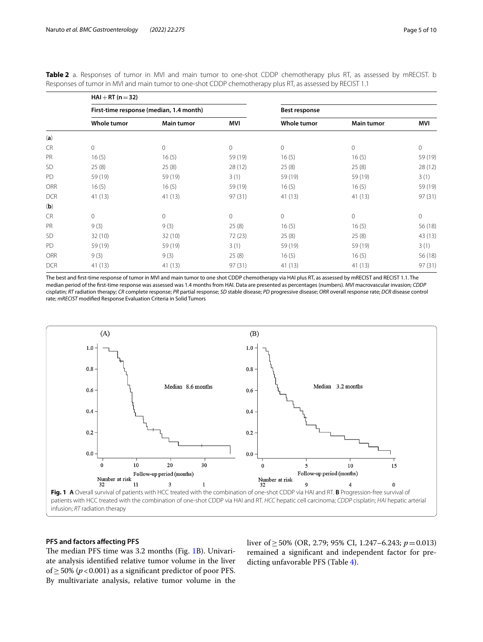|            | $HAI + RT (n = 32)$                     |                   |         |               |                     |              |
|------------|-----------------------------------------|-------------------|---------|---------------|---------------------|--------------|
|            | First-time response (median, 1.4 month) |                   |         | Best response |                     |              |
|            | Whole tumor                             | <b>Main tumor</b> | MVI     | Whole tumor   | <b>Main tumor</b>   | MVI          |
| (a)        |                                         |                   |         |               |                     |              |
| <b>CR</b>  | 0                                       | 0                 | $\circ$ | 0             | $\mathsf{O}\xspace$ | 0            |
| PR         | 16(5)                                   | 16(5)             | 59 (19) | 16(5)         | 16(5)               | 59 (19)      |
| <b>SD</b>  | 25(8)                                   | 25(8)             | 28 (12) | 25(8)         | 25(8)               | 28(12)       |
| PD         | 59 (19)                                 | 59 (19)           | 3(1)    | 59 (19)       | 59 (19)             | 3(1)         |
| <b>ORR</b> | 16(5)                                   | 16(5)             | 59 (19) | 16(5)         | 16(5)               | 59 (19)      |
| <b>DCR</b> | 41(13)                                  | 41(13)            | 97(31)  | 41(13)        | 41(13)              | 97(31)       |
| (b)        |                                         |                   |         |               |                     |              |
| <b>CR</b>  | 0                                       | 0                 | $\circ$ | $\circ$       | $\mathbf 0$         | $\mathbf{0}$ |
| PR         | 9(3)                                    | 9(3)              | 25(8)   | 16(5)         | 16(5)               | 56 (18)      |
| <b>SD</b>  | 32(10)                                  | 32(10)            | 72(23)  | 25(8)         | 25(8)               | 43 (13)      |
| PD         | 59 (19)                                 | 59 (19)           | 3(1)    | 59 (19)       | 59 (19)             | 3(1)         |
| <b>ORR</b> | 9(3)                                    | 9(3)              | 25(8)   | 16(5)         | 16(5)               | 56 (18)      |
| <b>DCR</b> | 41 (13)                                 | 41 (13)           | 97(31)  | 41 (13)       | 41 (13)             | 97(31)       |

<span id="page-4-0"></span>**Table 2** a. Responses of tumor in MVI and main tumor to one-shot CDDP chemotherapy plus RT, as assessed by mRECIST. b Responses of tumor in MVI and main tumor to one-shot CDDP chemotherapy plus RT, as assessed by RECIST 1.1

The best and frst-time response of tumor in MVI and main tumor to one shot CDDP chemotherapy via HAI plus RT, as assessed by mRECIST and RECIST 1.1. The median period of the frst-time response was assessed was 1.4 months from HAI. Data are presented as percentages (numbers). *MVI* macrovascular invasion; *CDDP* cisplatin; *RT* radiation therapy; *CR* complete response; *PR* partial response; *SD* stable disease; *PD* progressive disease; *ORR* overall response rate; *DCR* disease control rate; *mRECIST* modifed Response Evaluation Criteria in Solid Tumors



#### <span id="page-4-1"></span>**PFS and factors afecting PFS**

The median PFS time was 3.2 months (Fig. [1B](#page-4-1)). Univariate analysis identifed relative tumor volume in the liver of≥50% (*p*<0.001) as a signifcant predictor of poor PFS. By multivariate analysis, relative tumor volume in the liver of≥50% (OR, 2.79; 95% CI, 1.247–6.243; *p*=0.013) remained a signifcant and independent factor for predicting unfavorable PFS (Table [4\)](#page-6-0).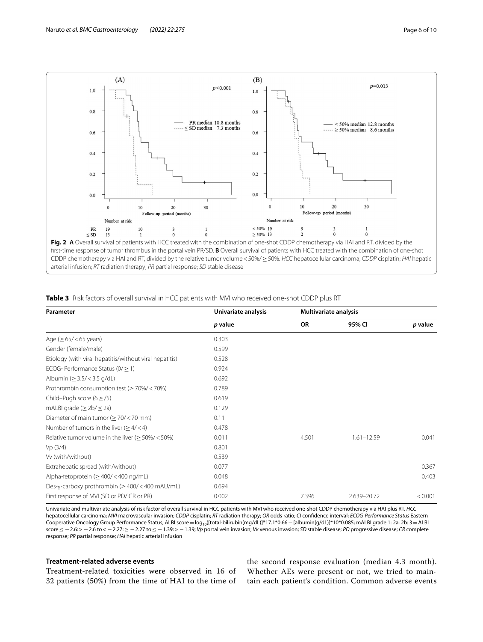

<span id="page-5-1"></span><span id="page-5-0"></span>

|  | <b>Table 3</b> Risk factors of overall survival in HCC patients with MVI who received one-shot CDDP plus RT |  |  |  |  |  |  |  |  |  |  |  |
|--|-------------------------------------------------------------------------------------------------------------|--|--|--|--|--|--|--|--|--|--|--|
|--|-------------------------------------------------------------------------------------------------------------|--|--|--|--|--|--|--|--|--|--|--|

| Parameter                                               | Univariate analysis<br>p value | <b>Multivariate analysis</b> |                |         |  |
|---------------------------------------------------------|--------------------------------|------------------------------|----------------|---------|--|
|                                                         |                                | <b>OR</b>                    | 95% CI         | p value |  |
| Age ( $\geq 65 / < 65$ years)                           | 0.303                          |                              |                |         |  |
| Gender (female/male)                                    | 0.599                          |                              |                |         |  |
| Etiology (with viral hepatitis/without viral hepatitis) | 0.528                          |                              |                |         |  |
| ECOG-Performance Status ( $0/\geq 1$ )                  | 0.924                          |                              |                |         |  |
| Albumin ( $\geq$ 3.5/ < 3.5 g/dL)                       | 0.692                          |                              |                |         |  |
| Prothrombin consumption test ( $\geq$ 70%/ < 70%)       | 0.789                          |                              |                |         |  |
| Child-Pugh score ( $6 \ge 75$ )                         | 0.619                          |                              |                |         |  |
| mALBI grade ( $\geq$ 2b/ $\leq$ 2a)                     | 0.129                          |                              |                |         |  |
| Diameter of main tumor ( $\geq$ 70/ < 70 mm)            | 0.11                           |                              |                |         |  |
| Number of tumors in the liver $(>4/4)$                  | 0.478                          |                              |                |         |  |
| Relative tumor volume in the liver ( $\geq$ 50%/ < 50%) | 0.011                          | 4.501                        | $1.61 - 12.59$ | 0.041   |  |
| Vp(3/4)                                                 | 0.801                          |                              |                |         |  |
| Vv (with/without)                                       | 0.539                          |                              |                |         |  |
| Extrahepatic spread (with/without)                      | 0.077                          |                              |                | 0.367   |  |
| Alpha-fetoprotein ( $\geq$ 400/ < 400 ng/mL)            | 0.048                          |                              |                | 0.403   |  |
| Des-y-carboxy prothrombin ( $\geq$ 400/ < 400 mAU/mL)   | 0.694                          |                              |                |         |  |
| First response of MVI (SD or PD/CR or PR)               | 0.002                          | 7.396                        | 2.639-20.72    | < 0.001 |  |

Univariate and multivariate analysis of risk factor of overall survival in HCC patients with MVI who received one-shot CDDP chemotherapy via HAI plus RT. *HCC* hepatocellular carcinoma; *MVI* macrovascular invasion; *CDDP* cisplatin; *RT* radiation therapy; *OR* odds ratio; *CI* confdence interval; *ECOG-Performance Status* Eastern Cooperative Oncology Group Performance Status; ALBI score= log10([total-bilirubin(mg/dL)]\*17.1\*0.66−[albumin(g/dL)]\*10\*0.085; mALBI grade 1: 2a: 2b: 3=ALBI score ≤ −2.6:> −2.6 to < −2.27: ≥ −2.27 to ≤ −1.39:> −1.39; *Vp* portal vein invasion; *Vv* venous invasion; *SD* stable disease; *PD* progressive disease; *CR* complete response; *PR* partial response; *HAI* hepatic arterial infusion

## **Treatment‑related adverse events**

Treatment-related toxicities were observed in 16 of 32 patients (50%) from the time of HAI to the time of

the second response evaluation (median 4.3 month). Whether AEs were present or not, we tried to maintain each patient's condition. Common adverse events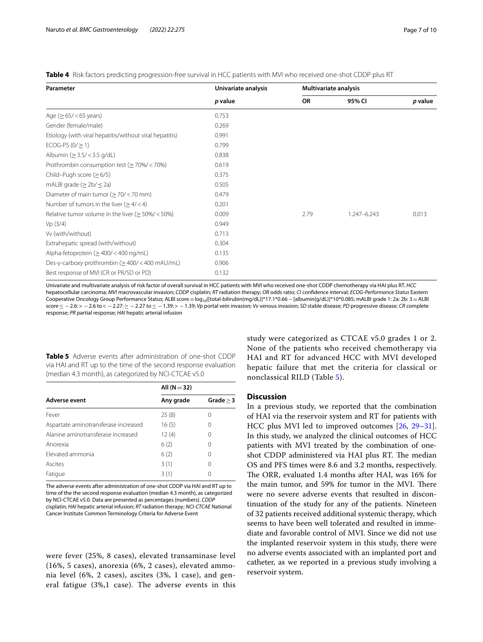<span id="page-6-0"></span>

| Table 4 Risk factors predicting progression-free survival in HCC patients with MVI who received one-shot CDDP plus RT |  |
|-----------------------------------------------------------------------------------------------------------------------|--|
|-----------------------------------------------------------------------------------------------------------------------|--|

| Parameter                                               | Univariate analysis | Multivariate analysis |             |         |  |
|---------------------------------------------------------|---------------------|-----------------------|-------------|---------|--|
|                                                         | p value             | <b>OR</b>             | 95% CI      | p value |  |
| Age ( $\geq 65 / < 65$ years)                           | 0.753               |                       |             |         |  |
| Gender (female/male)                                    | 0.269               |                       |             |         |  |
| Etiology (with viral hepatitis/without viral hepatitis) | 0.991               |                       |             |         |  |
| ECOG-PS $(0/\geq 1)$                                    | 0.799               |                       |             |         |  |
| Albumin ( $\geq$ 3.5/ < 3.5 g/dL)                       | 0.838               |                       |             |         |  |
| Prothrombin consumption test ( $\geq$ 70%/ < 70%)       | 0.619               |                       |             |         |  |
| Child-Pugh score $(≥ 6/5)$                              | 0.375               |                       |             |         |  |
| mALBI grade ( $\geq$ 2b/ $\leq$ 2a)                     | 0.505               |                       |             |         |  |
| Diameter of main tumor ( $\geq$ 70/ < 70 mm)            | 0.479               |                       |             |         |  |
| Number of tumors in the liver ( $\geq 4$ /<4)           | 0.201               |                       |             |         |  |
| Relative tumor volume in the liver ( $\geq$ 50%/ < 50%) | 0.009               | 2.79                  | 1.247-6.243 | 0.013   |  |
| Vp(3/4)                                                 | 0.949               |                       |             |         |  |
| Vv (with/without)                                       | 0.713               |                       |             |         |  |
| Extrahepatic spread (with/without)                      | 0.304               |                       |             |         |  |
| Alpha-fetoprotein ( $\geq$ 400/ < 400 ng/mL)            | 0.135               |                       |             |         |  |
| Des-y-carboxy prothrombin ( $\geq$ 400/ < 400 mAU/mL)   | 0.906               |                       |             |         |  |
| Best response of MVI (CR or PR/SD or PD)                | 0.132               |                       |             |         |  |

Univariate and multivariate analysis of risk factor of overall survival in HCC patients with MVI who received one-shot CDDP chemotherapy via HAI plus RT. *HCC* hepatocellular carcinoma; *MVI* macrovascular invasion; *CDDP* cisplatin; *RT* radiation therapy; *OR* odds ratio; *CI* confdence interval; *ECOG-Performance Status* Eastern Cooperative Oncology Group Performance Status; ALBI score=log<sub>10</sub>([total-bilirubin(mg/dL)]\*17.1\*0.66 - [albumin(g/dL)]\*10\*0.085; mALBI grade 1: 2a: 2b: 3 = ALBI score≤ −2.6:> −2.6 to< −2.27:≥ −2.27 to≤ −1.39:> −1.39; *Vp* portal vein invasion; *Vv* venous invasion; *SD* stable disease; *PD* progressive disease; *CR* complete response; *PR* partial response; *HAI* hepatic arterial infusion

<span id="page-6-1"></span>**Table 5** Adverse events after administration of one-shot CDDP via HAI and RT up to the time of the second response evaluation (median 4.3 month), as categorized by NCI-CTCAE v5.0

|                                      | All $(N=32)$ |                  |  |  |
|--------------------------------------|--------------|------------------|--|--|
| Adverse event                        | Any grade    | Grade $> 3$      |  |  |
| Fever                                | 25(8)        | $\left( \right)$ |  |  |
| Aspartate aminotransferase increased | 16(5)        | 0                |  |  |
| Alanine aminotransferase increased   | 12(4)        | 0                |  |  |
| Anorexia                             | 6(2)         | 0                |  |  |
| Elevated ammonia                     | 6(2)         | 0                |  |  |
| Ascites                              | 3(1)         | 0                |  |  |
| Fatigue                              | 3(1)         |                  |  |  |

The adverse events after administration of one-shot CDDP via HAI and RT up to time of the the second response evaluation (median 4.3 month), as categorized by NCI-CTCAE v5.0. Data are presented as percentages (numbers). *CDDP* cisplatin; *HAI* hepatic arterial infusion; *RT* radiation therapy; *NCI-CTCAE* National Cancer Institute Common Terminology Criteria for Adverse Event

were fever (25%, 8 cases), elevated transaminase level (16%, 5 cases), anorexia (6%, 2 cases), elevated ammonia level (6%, 2 cases), ascites (3%, 1 case), and general fatigue (3%,1 case). The adverse events in this study were categorized as CTCAE v5.0 grades 1 or 2. None of the patients who received chemotherapy via HAI and RT for advanced HCC with MVI developed hepatic failure that met the criteria for classical or nonclassical RILD (Table [5\)](#page-6-1).

#### **Discussion**

In a previous study, we reported that the combination of HAI via the reservoir system and RT for patients with HCC plus MVI led to improved outcomes [[26,](#page-9-2) [29](#page-9-8)[–31](#page-9-3)]. In this study, we analyzed the clinical outcomes of HCC patients with MVI treated by the combination of oneshot CDDP administered via HAI plus RT. The median OS and PFS times were 8.6 and 3.2 months, respectively. The ORR, evaluated 1.4 months after HAI, was 16% for the main tumor, and 59% for tumor in the MVI. There were no severe adverse events that resulted in discontinuation of the study for any of the patients. Nineteen of 32 patients received additional systemic therapy, which seems to have been well tolerated and resulted in immediate and favorable control of MVI. Since we did not use the implanted reservoir system in this study, there were no adverse events associated with an implanted port and catheter, as we reported in a previous study involving a reservoir system.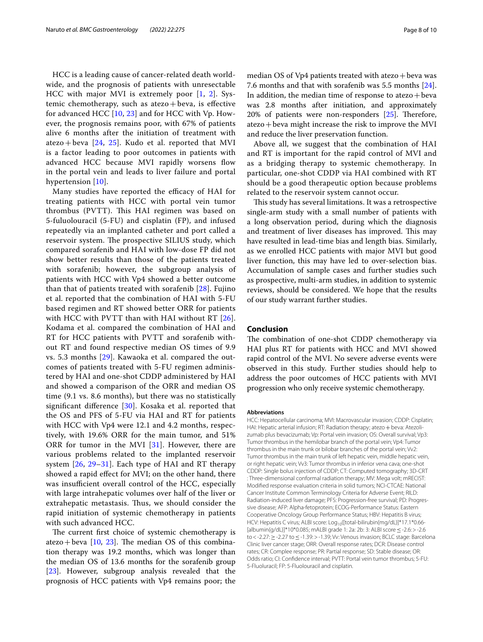HCC is a leading cause of cancer-related death worldwide, and the prognosis of patients with unresectable HCC with major MVI is extremely poor [[1,](#page-8-0) [2\]](#page-8-1). Systemic chemotherapy, such as atezo + beva, is effective for advanced HCC [[10](#page-8-9), [23](#page-9-0)] and for HCC with Vp. However, the prognosis remains poor, with 67% of patients alive 6 months after the initiation of treatment with atezo + beva  $[24, 25]$  $[24, 25]$  $[24, 25]$  $[24, 25]$  $[24, 25]$ . Kudo et al. reported that MVI is a factor leading to poor outcomes in patients with advanced HCC because MVI rapidly worsens flow in the portal vein and leads to liver failure and portal hypertension [[10\]](#page-8-9).

Many studies have reported the efficacy of HAI for treating patients with HCC with portal vein tumor thrombus (PVTT). This HAI regimen was based on 5-fuluolouracil (5-FU) and cisplatin (FP), and infused repeatedly via an implanted catheter and port called a reservoir system. The prospective SILIUS study, which compared sorafenib and HAI with low-dose FP did not show better results than those of the patients treated with sorafenib; however, the subgroup analysis of patients with HCC with Vp4 showed a better outcome than that of patients treated with sorafenib [\[28](#page-9-10)]. Fujino et al. reported that the combination of HAI with 5-FU based regimen and RT showed better ORR for patients with HCC with PVTT than with HAI without RT [[26](#page-9-2)]. Kodama et al. compared the combination of HAI and RT for HCC patients with PVTT and sorafenib without RT and found respective median OS times of 9.9 vs. 5.3 months [[29\]](#page-9-8). Kawaoka et al. compared the outcomes of patients treated with 5-FU regimen administered by HAI and one-shot CDDP administered by HAI and showed a comparison of the ORR and median OS time (9.1 vs. 8.6 months), but there was no statistically signifcant diference [\[30](#page-9-4)]. Kosaka et al. reported that the OS and PFS of 5-FU via HAI and RT for patients with HCC with Vp4 were 12.1 and 4.2 months, respectively, with 19.6% ORR for the main tumor, and 51% ORR for tumor in the MVI [[31](#page-9-3)]. However, there are various problems related to the implanted reservoir system [\[26,](#page-9-2) [29–](#page-9-8)[31\]](#page-9-3). Each type of HAI and RT therapy showed a rapid efect for MVI; on the other hand, there was insufficient overall control of the HCC, especially with large intrahepatic volumes over half of the liver or extrahepatic metastasis. Thus, we should consider the rapid initiation of systemic chemotherapy in patients with such advanced HCC.

The current first choice of systemic chemotherapy is atezo + beva  $[10, 23]$  $[10, 23]$  $[10, 23]$  $[10, 23]$  $[10, 23]$ . The median OS of this combination therapy was 19.2 months, which was longer than the median OS of 13.6 months for the sorafenib group [[23\]](#page-9-0). However, subgroup analysis revealed that the prognosis of HCC patients with Vp4 remains poor; the median OS of Vp4 patients treated with atezo + beva was 7.6 months and that with sorafenib was 5.5 months [\[24](#page-9-9)]. In addition, the median time of response to ate $z_0$ +beva was 2.8 months after initiation, and approximately 20% of patients were non-responders  $[25]$ . Therefore,  $\text{atezo} + \text{beva might increase}$  the risk to improve the MVI and reduce the liver preservation function.

Above all, we suggest that the combination of HAI and RT is important for the rapid control of MVI and as a bridging therapy to systemic chemotherapy. In particular, one-shot CDDP via HAI combined with RT should be a good therapeutic option because problems related to the reservoir system cannot occur.

This study has several limitations. It was a retrospective single-arm study with a small number of patients with a long observation period, during which the diagnosis and treatment of liver diseases has improved. This may have resulted in lead-time bias and length bias. Similarly, as we enrolled HCC patients with major MVI but good liver function, this may have led to over-selection bias. Accumulation of sample cases and further studies such as prospective, multi-arm studies, in addition to systemic reviews, should be considered. We hope that the results of our study warrant further studies.

#### **Conclusion**

The combination of one-shot CDDP chemotherapy via HAI plus RT for patients with HCC and MVI showed rapid control of the MVI. No severe adverse events were observed in this study. Further studies should help to address the poor outcomes of HCC patients with MVI progression who only receive systemic chemotherapy.

#### **Abbreviations**

HCC: Hepatocellular carcinoma; MVI: Macrovascular invasion; CDDP: Cisplatin; HAI: Hepatic arterial infusion; RT: Radiation therapy; atezo + beva: Atezolizumab plus bevacizumab; Vp: Portal vein invasion; OS: Overall survival; Vp3: Tumor thrombus in the hemilobar branch of the portal vein; Vp4: Tumor thrombus in the main trunk or bilobar branches of the portal vein; Vv2: Tumor thrombus in the main trunk of left hepatic vein, middle hepatic vein, or right hepatic vein; Vv3: Tumor thrombus in inferior vena cava; one-shot CDDP: Single bolus injection of CDDP; CT: Computed tomography; 3D-CRT : Three-dimensional conformal radiation therapy; MV: Mega volt; mRECIST: Modifed response evaluation criteria in solid tumors; NCI-CTCAE: National Cancer Institute Common Terminology Criteria for Adverse Event; RILD: Radiation-induced liver damage; PFS: Progression-free survival; PD: Progressive disease; AFP: Alpha-fetoprotein; ECOG-Performance Status: Eastern Cooperative Oncology Group Performance Status; HBV: Hepatitis B virus; HCV: Hepatitis C virus; ALBI score:  $\text{Log}_{10}(\text{[total-bilirubin(mg/dL)]*17.1*0.66-}$ [albumin(g/dL)]\*10\*0.085; mALBI grade 1: 2a: 2b: 3: ALBI score ≤ -2.6: > -2.6 to<-2.27:≥-2.27 to≤-1.39:>-1.39; Vv: Venous invasion; BCLC stage: Barcelona Clinic liver cancer stage; ORR: Overall response rates; DCR: Disease control rates; CR: Complee response; PR: Partial response; SD: Stable disease; OR: Odds ratio; CI: Confdence interval; PVTT: Portal vein tumor thrombus; 5-FU: 5-Fluoluracil; FP: 5-Fluolouracil and cisplatin.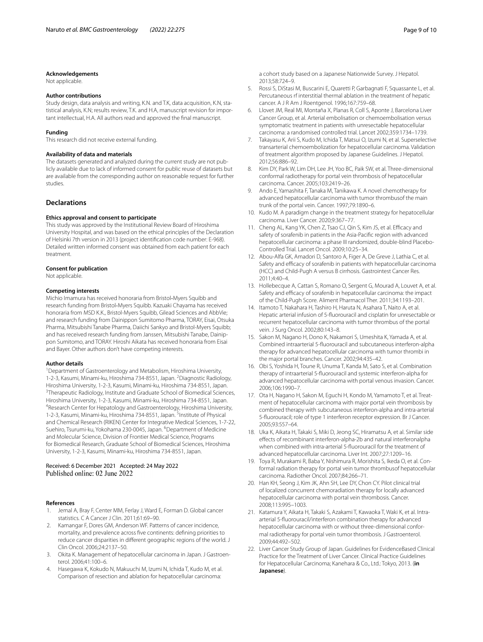#### **Acknowledgements**

Not applicable.

#### **Author contributions**

Study design, data analysis and writing, K.N. and T.K, data acquisition, K.N, statistical analysis, K.N; results review, T.K. and H.A, manuscript revision for important intellectual, H.A. All authors read and approved the fnal manuscript.

#### **Funding**

This research did not receive external funding.

#### **Availability of data and materials**

The datasets generated and analyzed during the current study are not publicly available due to lack of informed consent for public reuse of datasets but are available from the corresponding author on reasonable request for further studies.

#### **Declarations**

#### **Ethics approval and consent to participate**

This study was approved by the Institutional Review Board of Hiroshima University Hospital, and was based on the ethical principles of the Declaration of Helsinki 7th version in 2013 (project identifcation code number: E-968). Detailed written informed consent was obtained from each patient for each treatment.

#### **Consent for publication**

Not applicable.

#### **Competing interests**

Michio Imamura has received honoraria from Bristol‐Myers Squibb and research funding from Bristol‐Myers Squibb. Kazuaki Chayama has received honoraria from MSD K.K., Bristol-Myers Squibb, Gilead Sciences and AbbVie; and research funding from Dainippon Sumitomo Pharma, TORAY, Eisai, Otsuka Pharma, Mitsubishi Tanabe Pharma, Daiichi Sankyo and Bristol-Myers Squibb; and has received research funding from Janssen, Mitsubishi Tanabe, Dainippon Sumitomo, and TORAY. Hiroshi Aikata has received honoraria from Eisai and Bayer. Other authors don't have competing interests.

#### **Author details**

<sup>1</sup> Department of Gastroenterology and Metabolism, Hiroshima University, 1-2-3, Kasumi, Minami-ku, Hiroshima 734-8551, Japan. <sup>2</sup>Diagnostic Radiology, Hiroshima University, 1-2-3, Kasumi, Minami-ku, Hiroshima 734-8551, Japan. 3 <sup>3</sup>Therapeutic Radiology, Institute and Graduate School of Biomedical Sciences, Hiroshima University, 1-2-3, Kasumi, Minami-ku, Hiroshima 734-8551, Japan. 4 Research Center for Hepatology and Gastroenterology, Hiroshima University, 1-2-3, Kasumi, Minami-ku, Hiroshima 734-8551, Japan. <sup>5</sup>Institute of Physical and Chemical Research (RIKEN) Center for Integrative Medical Sciences, 1-7-22, Suehiro, Tsurumi-ku, Yokohama 230-0045, Japan. <sup>6</sup>Department of Medicine and Molecular Science, Division of Frontier Medical Science, Programs for Biomedical Research, Graduate School of Biomedical Sciences, Hiroshima University, 1-2-3, Kasumi, Minami-ku, Hiroshima 734-8551, Japan.

# Received: 6 December 2021 Accepted: 24 May 2022

#### **References**

- <span id="page-8-0"></span>Jemal A, Bray F, Center MM, Ferlay J, Ward E, Forman D. Global cancer statistics. C A Cancer J Clin. 2011;61:69–90.
- <span id="page-8-1"></span>2. Kamangar F, Dores GM, Anderson WF. Patterns of cancer incidence, mortality, and prevalence across fve continents: defning priorities to reduce cancer disparities in diferent geographic regions of the world. J Clin Oncol. 2006;24:2137–50.
- <span id="page-8-2"></span>3. Okita K. Management of hepatocellular carcinoma in Japan. J Gastroenterol. 2006;41:100–6.
- <span id="page-8-3"></span>4. Hasegawa K, Kokudo N, Makuuchi M, Izumi N, Ichida T, Kudo M, et al. Comparison of resection and ablation for hepatocellular carcinoma:

a cohort study based on a Japanese Nationwide Survey. J Hepatol. 2013;58:724–9.

- <span id="page-8-4"></span>5. Rossi S, DiStasi M, Buscarini E, Quaretti P, Garbagnati F, Squassante L, et al. Percutaneous rf interstitial thermal ablation in the treatment of hepatic cancer. A J R Am J Roentgenol. 1996;167:759–68.
- <span id="page-8-5"></span>6. Llovet JM, Real MI, Montaña X, Planas R, Coll S, Aponte J, Barcelona Liver Cancer Group, et al. Arterial embolisation or chemoembolisation versus symptomatic treatment in patients with unresectable hepatocellular carcinoma: a randomised controlled trial. Lancet 2002;359:1734–1739.
- <span id="page-8-6"></span>7. Takayasu K, Arii S, Kudo M, Ichida T, Matsui O, Izumi N, et al. Superselective transarterial chemoembolization for hepatocellular carcinoma. Validation of treatment algorithm proposed by Japanese Guidelines. J Hepatol. 2012;56:886–92.
- <span id="page-8-7"></span>Kim DY, Park W, Lim DH, Lee JH, Yoo BC, Paik SW, et al. Three-dimensional conformal radiotherapy for portal vein thrombosis of hepatocellular carcinoma. Cancer. 2005;103:2419–26.
- <span id="page-8-8"></span>9. Ando E, Yamashita F, Tanaka M, Tanikawa K. A novel chemotherapy for advanced hepatocellular carcinoma with tumor thrombusof the main trunk of the portal vein. Cancer. 1997;79:1890–6.
- <span id="page-8-9"></span>10. Kudo M. A paradigm change in the treatment strategy for hepatocellular carcinoma. Liver Cancer. 2020;9:367–77.
- <span id="page-8-10"></span>11. Cheng AL, Kang YK, Chen Z, Tsao CJ, Qin S, Kim JS, et al. Efficacy and safety of sorafenib in patients in the Asia-Pacifc region with advanced hepatocellular carcinoma: a phase III randomized, double-blind Placebo-Controlled Trial. Lancet Oncol. 2009;10:25–34.
- 12. Abou-Alfa GK, Amadori D, Santoro A, Figer A, De Greve J, Lathia C, et al. Safety and efficacy of sorafenib in patients with hepatocellular carcinoma (HCC) and Child-Pugh A versus B cirrhosis. Gastrointest Cancer Res. 2011;4:40–4.
- 13. Hollebecque A, Cattan S, Romano O, Sergent G, Mourad A, Louvet A, et al. Safety and efficacy of sorafenib in hepatocellular carcinoma: the impact of the Child-Pugh Score. Aliment Pharmacol Ther. 2011;34:1193–201.
- 14. Itamoto T, Nakahara H, Tashiro H, Haruta N, Asahara T, Naito A, et al. Hepatic arterial infusion of 5-fuorouracil and cisplatin for unresectable or recurrent hepatocellular carcinoma with tumor thrombus of the portal vein. J Surg Oncol. 2002;80:143–8.
- 15. Sakon M, Nagano H, Dono K, Nakamori S, Umeshita K, Yamada A, et al. Combined intraarterial 5-fuorouracil and subcutaneous interferon-alpha therapy for advanced hepatocellular carcinoma with tumor thrombi in the major portal branches. Cancer. 2002;94:435–42.
- 16. Obi S, Yoshida H, Toune R, Unuma T, Kanda M, Sato S, et al. Combination therapy of intraarterial 5-fuorouracil and systemic interferon-alpha for advanced hepatocellular carcinoma with portal venous invasion. Cancer. 2006;106:1990–7.
- 17. Ota H, Nagano H, Sakon M, Eguchi H, Kondo M, Yamamoto T, et al. Treatment of hepatocellular carcinoma with major portal vein thrombosis by combined therapy with subcutaneous interferon-alpha and intra-arterial 5-fuorouracil; role of type 1 interferon receptor expression. Br J Cancer. 2005;93:557–64.
- 18. Uka K, Aikata H, Takaki S, Miki D, Jeong SC, Hiramatsu A, et al. Similar side efects of recombinant interferon-alpha-2b and natural interferonalpha when combined with intra-arterial 5-fuorouracil for the treatment of advanced hepatocellular carcinoma. Liver Int. 2007;27:1209–16.
- 19. Toya R, Murakami R, Baba Y, Nishimura R, Morishita S, Ikeda O, et al. Conformal radiation therapy for portal vein tumor thrombusof hepatocellular carcinoma. Radiother Oncol. 2007;84:266–71.
- 20. Han KH, Seong J, Kim JK, Ahn SH, Lee DY, Chon CY. Pilot clinical trial of localized concurrent chemoradiation therapy for locally advanced hepatocellular carcinoma with portal vein thrombosis. Cancer. 2008;113:995–1003.
- <span id="page-8-11"></span>21. Katamura Y, Aikata H, Takaki S, Azakami T, Kawaoka T, Waki K, et al. Intraarterial 5-fuorouracil/interferon combination therapy for advanced hepatocellular carcinoma with or without three-dimensional conformal radiotherapy for portal vein tumor thrombosis. J Gastroenterol. 2009;44:492–502.
- <span id="page-8-12"></span>22. Liver Cancer Study Group of Japan. Guidelines for EvidenceBased Clinical Practice for the Treatment of Liver Cancer. Clinical Practice Guidelines for Hepatocellular Carcinoma; Kanehara & Co., Ltd.: Tokyo, 2013. (**in Japanese**).